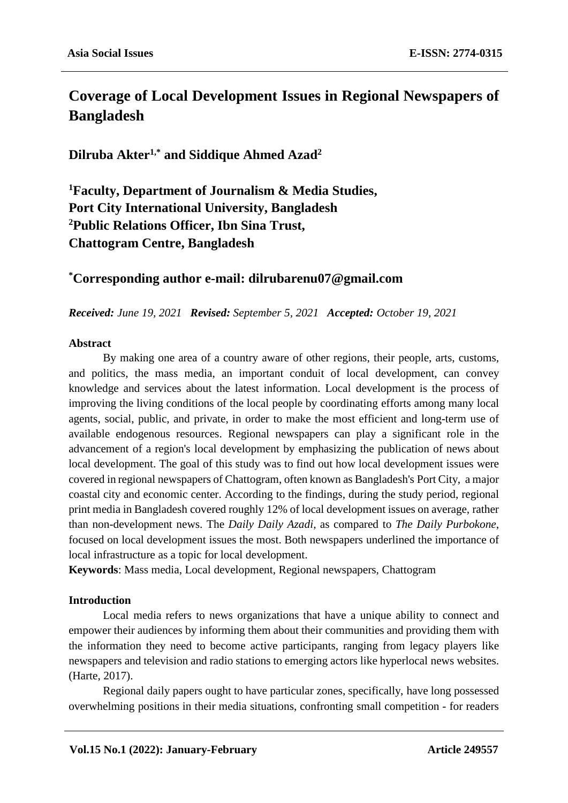# **Coverage of Local Development Issues in Regional Newspapers of Bangladesh**

**Dilruba Akter1,\* and Siddique Ahmed Azad2**

**1 Faculty, Department of Journalism & Media Studies, Port City International University, Bangladesh 2 Public Relations Officer, Ibn Sina Trust, Chattogram Centre, Bangladesh**

# **\* Corresponding author e-mail: dilrubarenu07@gmail.com**

*Received: June 19, 2021 Revised: September 5, 2021 Accepted: October 19, 2021*

# **Abstract**

By making one area of a country aware of other regions, their people, arts, customs, and politics, the mass media, an important conduit of local development, can convey knowledge and services about the latest information. Local development is the process of improving the living conditions of the local people by coordinating efforts among many local agents, social, public, and private, in order to make the most efficient and long-term use of available endogenous resources. Regional newspapers can play a significant role in the advancement of a region's local development by emphasizing the publication of news about local development. The goal of this study was to find out how local development issues were covered in regional newspapers of Chattogram, often known as Bangladesh's Port City, a major coastal city and economic center. According to the findings, during the study period, regional print media in Bangladesh covered roughly 12% of local development issues on average, rather than non-development news. The *Daily Daily Azadi*, as compared to *The Daily Purbokone*, focused on local development issues the most. Both newspapers underlined the importance of local infrastructure as a topic for local development.

**Keywords**: Mass media, Local development, Regional newspapers, Chattogram

# **Introduction**

Local media refers to news organizations that have a unique ability to connect and empower their audiences by informing them about their communities and providing them with the information they need to become active participants, ranging from legacy players like newspapers and television and radio stations to emerging actors like hyperlocal news websites. (Harte, 2017).

Regional daily papers ought to have particular zones, specifically, have long possessed overwhelming positions in their media situations, confronting small competition - for readers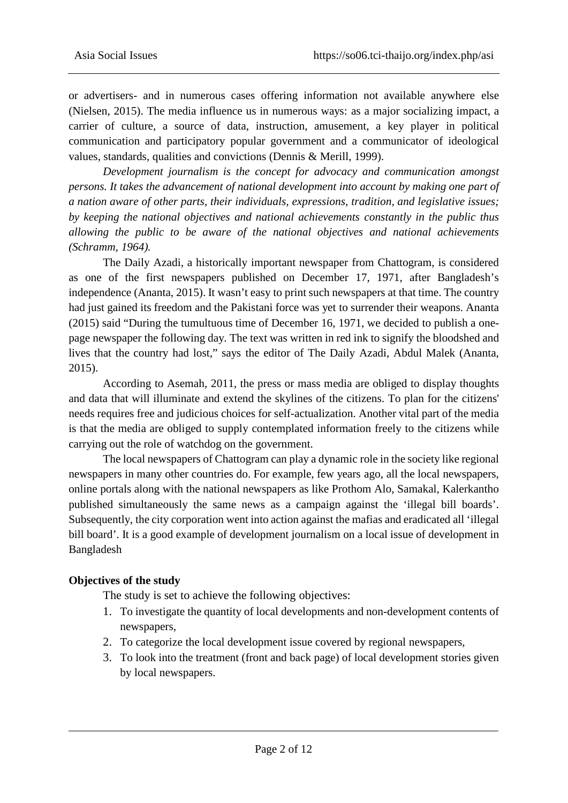or advertisers- and in numerous cases offering information not available anywhere else (Nielsen, 2015). The media influence us in numerous ways: as a major socializing impact, a carrier of culture, a source of data, instruction, amusement, a key player in political communication and participatory popular government and a communicator of ideological values, standards, qualities and convictions (Dennis & Merill, 1999).

*Development journalism is the concept for advocacy and communication amongst persons. It takes the advancement of national development into account by making one part of a nation aware of other parts, their individuals, expressions, tradition, and legislative issues; by keeping the national objectives and national achievements constantly in the public thus allowing the public to be aware of the national objectives and national achievements (Schramm, 1964).*

The Daily Azadi, a historically important newspaper from Chattogram, is considered as one of the first newspapers published on December 17, 1971, after Bangladesh's independence (Ananta, 2015). It wasn't easy to print such newspapers at that time. The country had just gained its freedom and the Pakistani force was yet to surrender their weapons. Ananta (2015) said "During the tumultuous time of December 16, 1971, we decided to publish a onepage newspaper the following day. The text was written in red ink to signify the bloodshed and lives that the country had lost," says the editor of The Daily Azadi, Abdul Malek (Ananta, 2015).

According to Asemah, 2011, the press or mass media are obliged to display thoughts and data that will illuminate and extend the skylines of the citizens. To plan for the citizens' needs requires free and judicious choices for self-actualization. Another vital part of the media is that the media are obliged to supply contemplated information freely to the citizens while carrying out the role of watchdog on the government.

The local newspapers of Chattogram can play a dynamic role in the society like regional newspapers in many other countries do. For example, few years ago, all the local newspapers, online portals along with the national newspapers as like Prothom Alo, Samakal, Kalerkantho published simultaneously the same news as a campaign against the 'illegal bill boards'. Subsequently, the city corporation went into action against the mafias and eradicated all 'illegal bill board'. It is a good example of development journalism on a local issue of development in Bangladesh

# **Objectives of the study**

The study is set to achieve the following objectives:

- 1. To investigate the quantity of local developments and non-development contents of newspapers,
- 2. To categorize the local development issue covered by regional newspapers,
- 3. To look into the treatment (front and back page) of local development stories given by local newspapers.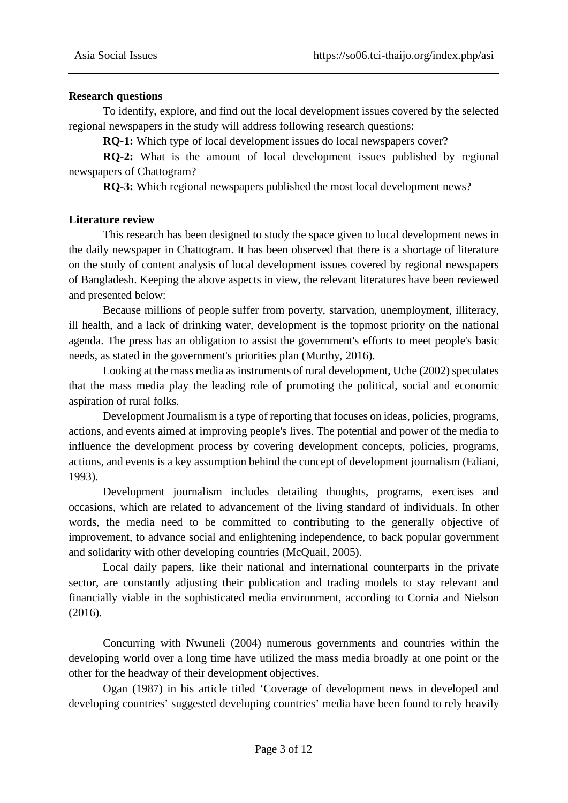# **Research questions**

To identify, explore, and find out the local development issues covered by the selected regional newspapers in the study will address following research questions:

**RQ-1:** Which type of local development issues do local newspapers cover?

**RQ-2:** What is the amount of local development issues published by regional newspapers of Chattogram?

**RQ-3:** Which regional newspapers published the most local development news?

# **Literature review**

This research has been designed to study the space given to local development news in the daily newspaper in Chattogram. It has been observed that there is a shortage of literature on the study of content analysis of local development issues covered by regional newspapers of Bangladesh. Keeping the above aspects in view, the relevant literatures have been reviewed and presented below:

Because millions of people suffer from poverty, starvation, unemployment, illiteracy, ill health, and a lack of drinking water, development is the topmost priority on the national agenda. The press has an obligation to assist the government's efforts to meet people's basic needs, as stated in the government's priorities plan (Murthy, 2016).

Looking at the mass media as instruments of rural development, Uche (2002) speculates that the mass media play the leading role of promoting the political, social and economic aspiration of rural folks.

Development Journalism is a type of reporting that focuses on ideas, policies, programs, actions, and events aimed at improving people's lives. The potential and power of the media to influence the development process by covering development concepts, policies, programs, actions, and events is a key assumption behind the concept of development journalism (Ediani, 1993).

Development journalism includes detailing thoughts, programs, exercises and occasions, which are related to advancement of the living standard of individuals. In other words, the media need to be committed to contributing to the generally objective of improvement, to advance social and enlightening independence, to back popular government and solidarity with other developing countries (McQuail, 2005).

Local daily papers, like their national and international counterparts in the private sector, are constantly adjusting their publication and trading models to stay relevant and financially viable in the sophisticated media environment, according to Cornia and Nielson (2016).

Concurring with Nwuneli (2004) numerous governments and countries within the developing world over a long time have utilized the mass media broadly at one point or the other for the headway of their development objectives.

Ogan (1987) in his article titled 'Coverage of development news in developed and developing countries' suggested developing countries' media have been found to rely heavily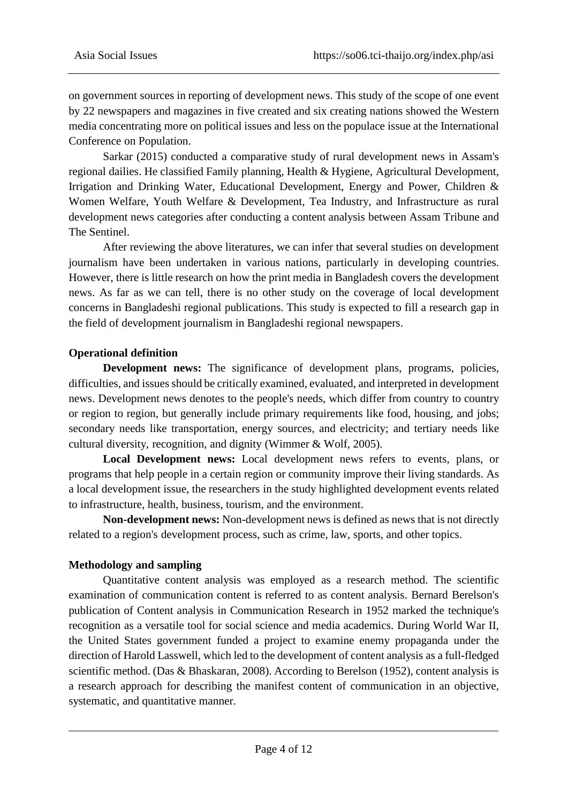on government sources in reporting of development news. This study of the scope of one event by 22 newspapers and magazines in five created and six creating nations showed the Western media concentrating more on political issues and less on the populace issue at the International Conference on Population.

Sarkar (2015) conducted a comparative study of rural development news in Assam's regional dailies. He classified Family planning, Health & Hygiene, Agricultural Development, Irrigation and Drinking Water, Educational Development, Energy and Power, Children & Women Welfare, Youth Welfare & Development, Tea Industry, and Infrastructure as rural development news categories after conducting a content analysis between Assam Tribune and The Sentinel.

After reviewing the above literatures, we can infer that several studies on development journalism have been undertaken in various nations, particularly in developing countries. However, there is little research on how the print media in Bangladesh covers the development news. As far as we can tell, there is no other study on the coverage of local development concerns in Bangladeshi regional publications. This study is expected to fill a research gap in the field of development journalism in Bangladeshi regional newspapers.

# **Operational definition**

**Development news:** The significance of development plans, programs, policies, difficulties, and issues should be critically examined, evaluated, and interpreted in development news. Development news denotes to the people's needs, which differ from country to country or region to region, but generally include primary requirements like food, housing, and jobs; secondary needs like transportation, energy sources, and electricity; and tertiary needs like cultural diversity, recognition, and dignity (Wimmer & Wolf, 2005).

**Local Development news:** Local development news refers to events, plans, or programs that help people in a certain region or community improve their living standards. As a local development issue, the researchers in the study highlighted development events related to infrastructure, health, business, tourism, and the environment.

**Non-development news:** Non-development news is defined as news that is not directly related to a region's development process, such as crime, law, sports, and other topics.

# **Methodology and sampling**

Quantitative content analysis was employed as a research method. The scientific examination of communication content is referred to as content analysis. Bernard Berelson's publication of Content analysis in Communication Research in 1952 marked the technique's recognition as a versatile tool for social science and media academics. During World War II, the United States government funded a project to examine enemy propaganda under the direction of Harold Lasswell, which led to the development of content analysis as a full-fledged scientific method. (Das & Bhaskaran, 2008). According to Berelson (1952), content analysis is a research approach for describing the manifest content of communication in an objective, systematic, and quantitative manner.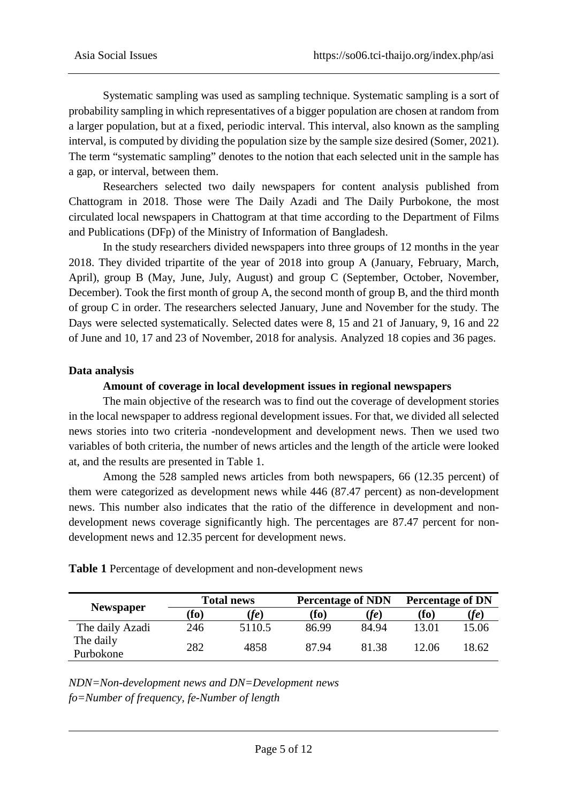Systematic sampling was used as sampling technique. Systematic sampling is a sort of probability sampling in which representatives of a bigger population are chosen at random from a larger population, but at a fixed, periodic interval. This interval, also known as the sampling interval, is computed by dividing the population size by the sample size desired (Somer, 2021). The term "systematic sampling" denotes to the notion that each selected unit in the sample has a gap, or interval, between them.

Researchers selected two daily newspapers for content analysis published from Chattogram in 2018. Those were The Daily Azadi and The Daily Purbokone, the most circulated local newspapers in Chattogram at that time according to the Department of Films and Publications (DFp) of the Ministry of Information of Bangladesh.

In the study researchers divided newspapers into three groups of 12 months in the year 2018. They divided tripartite of the year of 2018 into group A (January, February, March, April), group B (May, June, July, August) and group C (September, October, November, December). Took the first month of group A, the second month of group B, and the third month of group C in order. The researchers selected January, June and November for the study. The Days were selected systematically. Selected dates were 8, 15 and 21 of January, 9, 16 and 22 of June and 10, 17 and 23 of November, 2018 for analysis. Analyzed 18 copies and 36 pages.

#### **Data analysis**

#### **Amount of coverage in local development issues in regional newspapers**

The main objective of the research was to find out the coverage of development stories in the local newspaper to address regional development issues. For that, we divided all selected news stories into two criteria -nondevelopment and development news. Then we used two variables of both criteria, the number of news articles and the length of the article were looked at, and the results are presented in Table 1.

Among the 528 sampled news articles from both newspapers, 66 (12.35 percent) of them were categorized as development news while 446 (87.47 percent) as non-development news. This number also indicates that the ratio of the difference in development and nondevelopment news coverage significantly high. The percentages are 87.47 percent for nondevelopment news and 12.35 percent for development news.

|                        | <b>Total news</b> |                 | <b>Percentage of NDN</b> |                 | <b>Percentage of DN</b> |       |
|------------------------|-------------------|-----------------|--------------------------|-----------------|-------------------------|-------|
| <b>Newspaper</b>       | $f_0$             | $(\textit{fe})$ | $({\bf f_0})$            | $(\textit{fe})$ | (fo)                    | (fe)  |
| The daily Azadi        | 246               | 5110.5          | 86.99                    | 84.94           | 13.01                   | 15.06 |
| The daily<br>Purbokone | 282               | 4858            | 87.94                    | 81.38           | 12.06                   | 18.62 |

**Table 1** Percentage of development and non-development news

*NDN=Non-development news and DN=Development news fo=Number of frequency, fe-Number of length*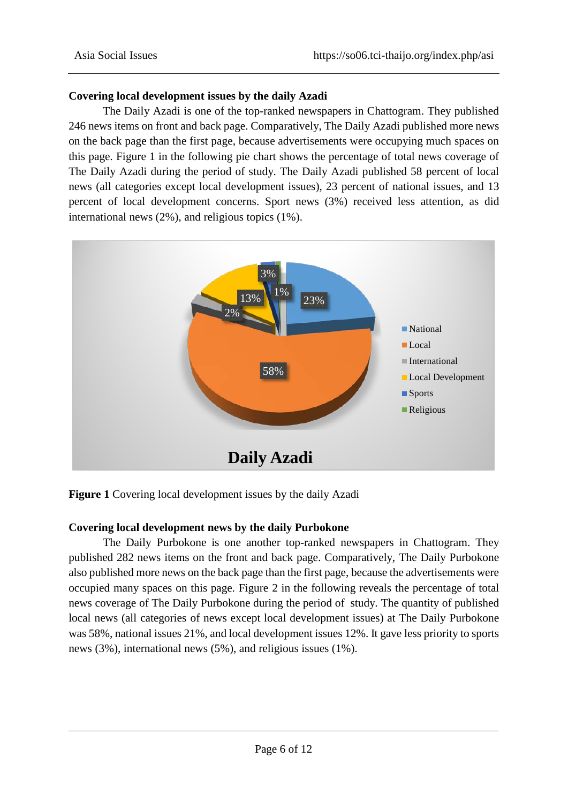# **Covering local development issues by the daily Azadi**

The Daily Azadi is one of the top-ranked newspapers in Chattogram. They published 246 news items on front and back page. Comparatively, The Daily Azadi published more news on the back page than the first page, because advertisements were occupying much spaces on this page. Figure 1 in the following pie chart shows the percentage of total news coverage of The Daily Azadi during the period of study. The Daily Azadi published 58 percent of local news (all categories except local development issues), 23 percent of national issues, and 13 percent of local development concerns. Sport news (3%) received less attention, as did international news (2%), and religious topics (1%).



**Figure 1** Covering local development issues by the daily Azadi

# **Covering local development news by the daily Purbokone**

The Daily Purbokone is one another top-ranked newspapers in Chattogram. They published 282 news items on the front and back page. Comparatively, The Daily Purbokone also published more news on the back page than the first page, because the advertisements were occupied many spaces on this page. Figure 2 in the following reveals the percentage of total news coverage of The Daily Purbokone during the period of study. The quantity of published local news (all categories of news except local development issues) at The Daily Purbokone was 58%, national issues 21%, and local development issues 12%. It gave less priority to sports news (3%), international news (5%), and religious issues (1%).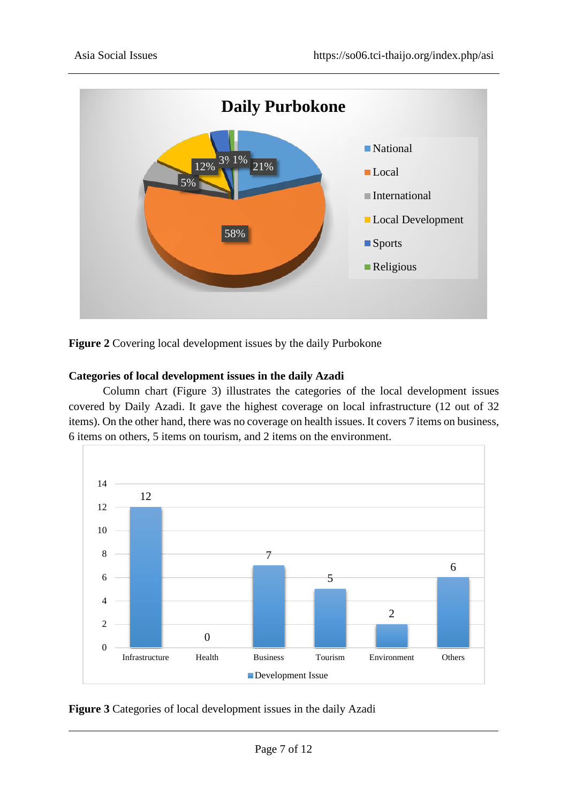

**Figure 2** Covering local development issues by the daily Purbokone

# **Categories of local development issues in the daily Azadi**

Column chart (Figure 3) illustrates the categories of the local development issues covered by Daily Azadi. It gave the highest coverage on local infrastructure (12 out of 32 items). On the other hand, there was no coverage on health issues. It covers 7 items on business, 6 items on others, 5 items on tourism, and 2 items on the environment.



**Figure 3** Categories of local development issues in the daily Azadi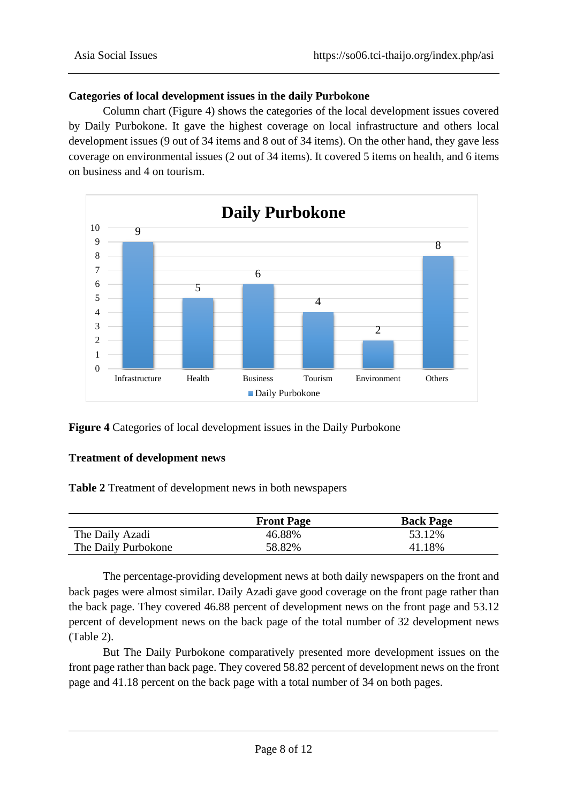#### **Categories of local development issues in the daily Purbokone**

Column chart (Figure 4) shows the categories of the local development issues covered by Daily Purbokone. It gave the highest coverage on local infrastructure and others local development issues (9 out of 34 items and 8 out of 34 items). On the other hand, they gave less coverage on environmental issues (2 out of 34 items). It covered 5 items on health, and 6 items on business and 4 on tourism.



**Figure 4** Categories of local development issues in the Daily Purbokone

#### **Treatment of development news**

**Table 2** Treatment of development news in both newspapers

|                     | <b>Front Page</b> | <b>Back Page</b> |
|---------------------|-------------------|------------------|
| The Daily Azadi     | 46.88%            | 53.12%           |
| The Daily Purbokone | 58.82%            | 41.18%           |

The percentage providing development news at both daily newspapers on the front and back pages were almost similar. Daily Azadi gave good coverage on the front page rather than the back page. They covered 46.88 percent of development news on the front page and 53.12 percent of development news on the back page of the total number of 32 development news (Table 2).

But The Daily Purbokone comparatively presented more development issues on the front page rather than back page. They covered 58.82 percent of development news on the front page and 41.18 percent on the back page with a total number of 34 on both pages.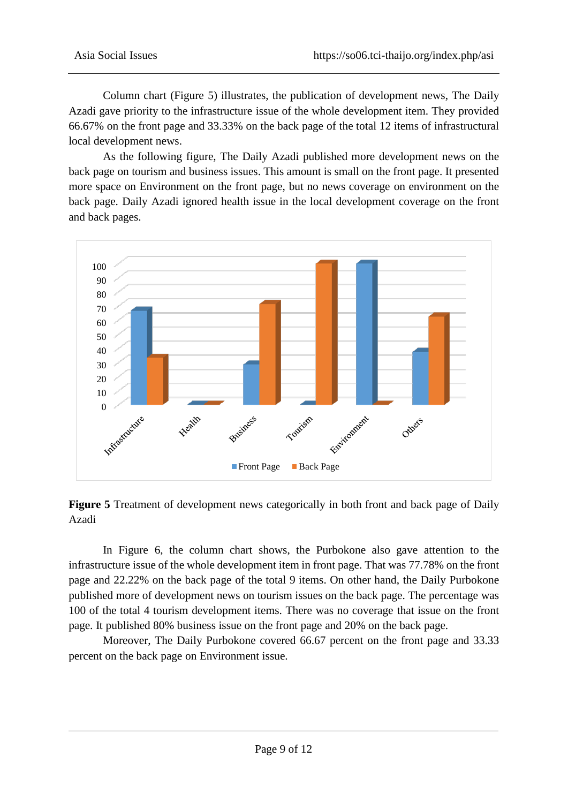Column chart (Figure 5) illustrates, the publication of development news, The Daily Azadi gave priority to the infrastructure issue of the whole development item. They provided 66.67% on the front page and 33.33% on the back page of the total 12 items of infrastructural local development news.

As the following figure, The Daily Azadi published more development news on the back page on tourism and business issues. This amount is small on the front page. It presented more space on Environment on the front page, but no news coverage on environment on the back page. Daily Azadi ignored health issue in the local development coverage on the front and back pages.



**Figure 5** Treatment of development news categorically in both front and back page of Daily Azadi

In Figure 6, the column chart shows, the Purbokone also gave attention to the infrastructure issue of the whole development item in front page. That was 77.78% on the front page and 22.22% on the back page of the total 9 items. On other hand, the Daily Purbokone published more of development news on tourism issues on the back page. The percentage was 100 of the total 4 tourism development items. There was no coverage that issue on the front page. It published 80% business issue on the front page and 20% on the back page.

Moreover, The Daily Purbokone covered 66.67 percent on the front page and 33.33 percent on the back page on Environment issue.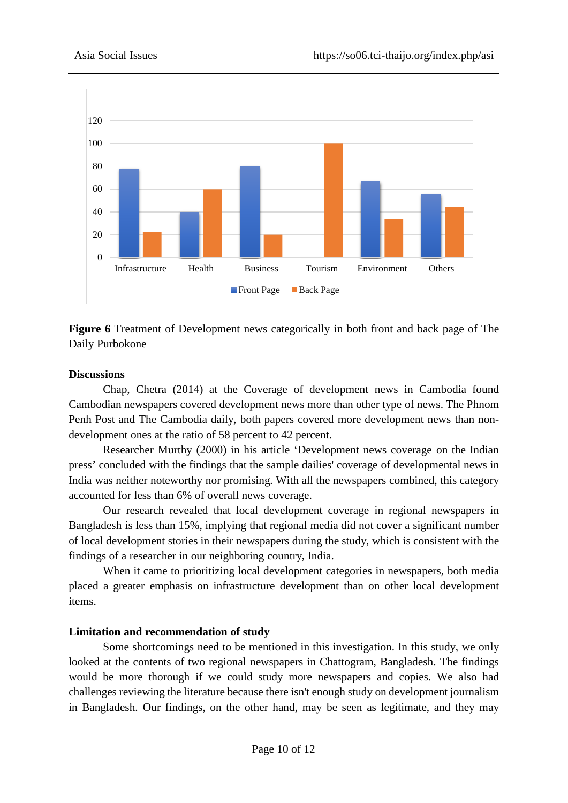

**Figure 6** Treatment of Development news categorically in both front and back page of The Daily Purbokone

# **Discussions**

Chap, Chetra (2014) at the Coverage of development news in Cambodia found Cambodian newspapers covered development news more than other type of news. The Phnom Penh Post and The Cambodia daily, both papers covered more development news than nondevelopment ones at the ratio of 58 percent to 42 percent.

Researcher Murthy (2000) in his article 'Development news coverage on the Indian press' concluded with the findings that the sample dailies' coverage of developmental news in India was neither noteworthy nor promising. With all the newspapers combined, this category accounted for less than 6% of overall news coverage.

Our research revealed that local development coverage in regional newspapers in Bangladesh is less than 15%, implying that regional media did not cover a significant number of local development stories in their newspapers during the study, which is consistent with the findings of a researcher in our neighboring country, India.

When it came to prioritizing local development categories in newspapers, both media placed a greater emphasis on infrastructure development than on other local development items.

# **Limitation and recommendation of study**

Some shortcomings need to be mentioned in this investigation. In this study, we only looked at the contents of two regional newspapers in Chattogram, Bangladesh. The findings would be more thorough if we could study more newspapers and copies. We also had challenges reviewing the literature because there isn't enough study on development journalism in Bangladesh. Our findings, on the other hand, may be seen as legitimate, and they may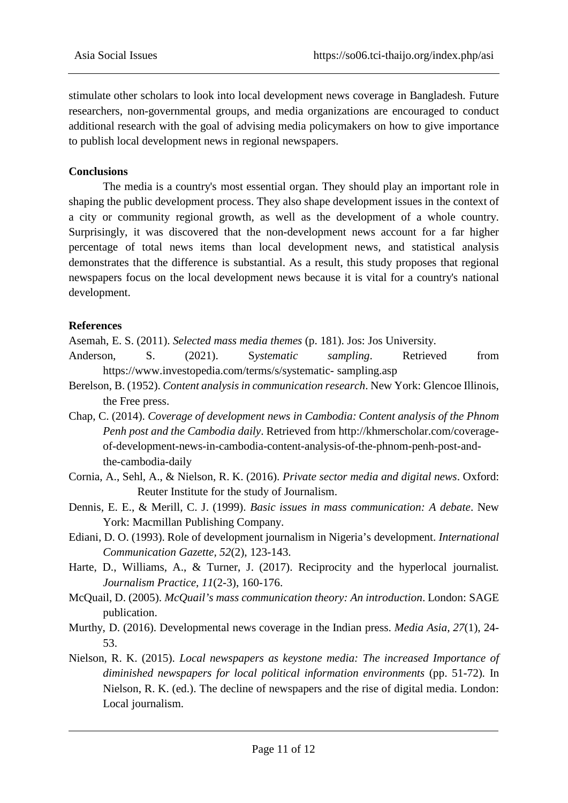stimulate other scholars to look into local development news coverage in Bangladesh. Future researchers, non-governmental groups, and media organizations are encouraged to conduct additional research with the goal of advising media policymakers on how to give importance to publish local development news in regional newspapers.

#### **Conclusions**

The media is a country's most essential organ. They should play an important role in shaping the public development process. They also shape development issues in the context of a city or community regional growth, as well as the development of a whole country. Surprisingly, it was discovered that the non-development news account for a far higher percentage of total news items than local development news, and statistical analysis demonstrates that the difference is substantial. As a result, this study proposes that regional newspapers focus on the local development news because it is vital for a country's national development.

#### **References**

Asemah, E. S. (2011). *Selected mass media themes* (p. 181). Jos: Jos University.

- Anderson, S. (2021). S*ystematic sampling*. Retrieved from https://www.investopedia.com/terms/s/systematic- sampling.asp
- Berelson, B. (1952). *Content analysis in communication research*. New York: Glencoe Illinois, the Free press.
- Chap, C. (2014). *Coverage of development news in Cambodia: Content analysis of the Phnom Penh post and the Cambodia daily*. Retrieved from http://khmerscholar.com/coverageof-development-news-in-cambodia-content-analysis-of-the-phnom-penh-post-andthe-cambodia-daily
- Cornia, A., Sehl, A., & Nielson, R. K. (2016). *Private sector media and digital news*. Oxford: Reuter Institute for the study of Journalism.
- Dennis, E. E., & Merill, C. J. (1999). *Basic issues in mass communication: A debate*. New York: Macmillan Publishing Company.
- Ediani, D. O. (1993). Role of development journalism in Nigeria's development. *International Communication Gazette, 52*(2), 123-143.
- Harte, D., Williams, A., & Turner, J. (2017). Reciprocity and the hyperlocal journalist*. Journalism Practice, 11*(2-3), 160-176.
- McQuail, D. (2005). *McQuail's mass communication theory: An introduction*. London: SAGE publication.
- Murthy, D. (2016). Developmental news coverage in the Indian press. *Media Asia, 27*(1), 24- 53.
- Nielson, R. K. (2015). *Local newspapers as keystone media: The increased Importance of diminished newspapers for local political information environments* (pp. 51-72)*.* In Nielson, R. K. (ed.). The decline of newspapers and the rise of digital media. London: Local journalism.